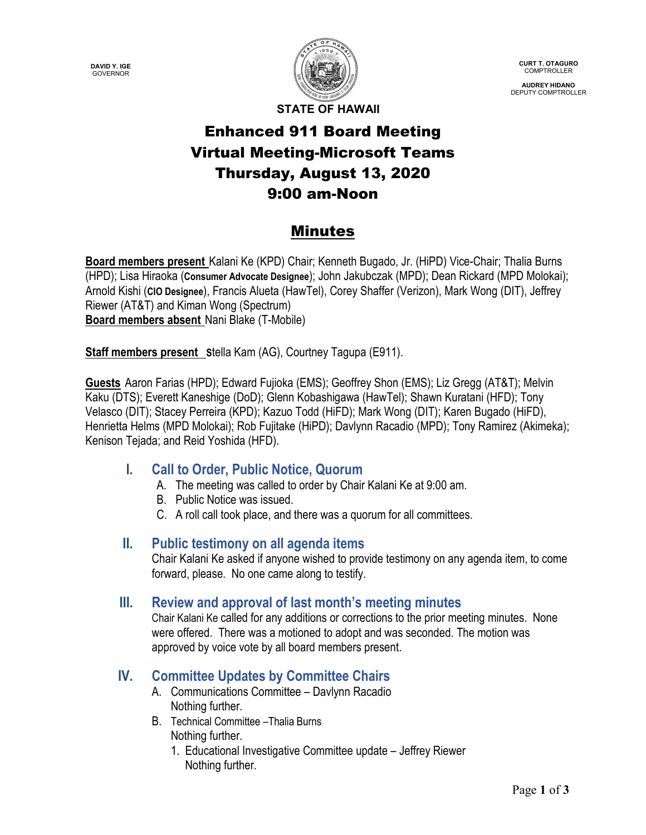**DAVID Y. IGE** GOVERNOR



**CURT T. OTAGURO** COMPTROLLER

**AUDREY HIDANO** DEPUTY COMPTROLLER

**STATE OF HAWAII**

# Enhanced 911 Board Meeting Virtual Meeting-Microsoft Teams Thursday, August 13, 2020 9:00 am-Noon

## Minutes

**Board members present** Kalani Ke (KPD) Chair; Kenneth Bugado, Jr. (HiPD) Vice-Chair; Thalia Burns (HPD); Lisa Hiraoka (**Consumer Advocate Designee**); John Jakubczak (MPD); Dean Rickard (MPD Molokai); Arnold Kishi (**CIO Designee**), Francis Alueta (HawTel), Corey Shaffer (Verizon), Mark Wong (DIT), Jeffrey Riewer (AT&T) and Kiman Wong (Spectrum) **Board members absent** Nani Blake (T-Mobile)

**Staff members present** Stella Kam (AG), Courtney Tagupa (E911).

**Guests** Aaron Farias (HPD); Edward Fujioka (EMS); Geoffrey Shon (EMS); Liz Gregg (AT&T); Melvin Kaku (DTS); Everett Kaneshige (DoD); Glenn Kobashigawa (HawTel); Shawn Kuratani (HFD); Tony Velasco (DIT); Stacey Perreira (KPD); Kazuo Todd (HiFD); Mark Wong (DIT); Karen Bugado (HiFD), Henrietta Helms (MPD Molokai); Rob Fujitake (HiPD); Davlynn Racadio (MPD); Tony Ramirez (Akimeka); Kenison Tejada; and Reid Yoshida (HFD).

## **I. Call to Order, Public Notice, Quorum**

- A. The meeting was called to order by Chair Kalani Ke at 9:00 am.
- B. Public Notice was issued.
- C. A roll call took place, and there was a quorum for all committees.

#### **II. Public testimony on all agenda items**

Chair Kalani Ke asked if anyone wished to provide testimony on any agenda item, to come forward, please. No one came along to testify.

## **III. Review and approval of last month's meeting minutes**

Chair Kalani Ke called for any additions or corrections to the prior meeting minutes. None were offered. There was a motioned to adopt and was seconded. The motion was approved by voice vote by all board members present.

## **IV. Committee Updates by Committee Chairs**

- A. Communications Committee Davlynn Racadio Nothing further.
- B. Technical Committee –Thalia Burns Nothing further.
	- 1. Educational Investigative Committee update Jeffrey Riewer Nothing further.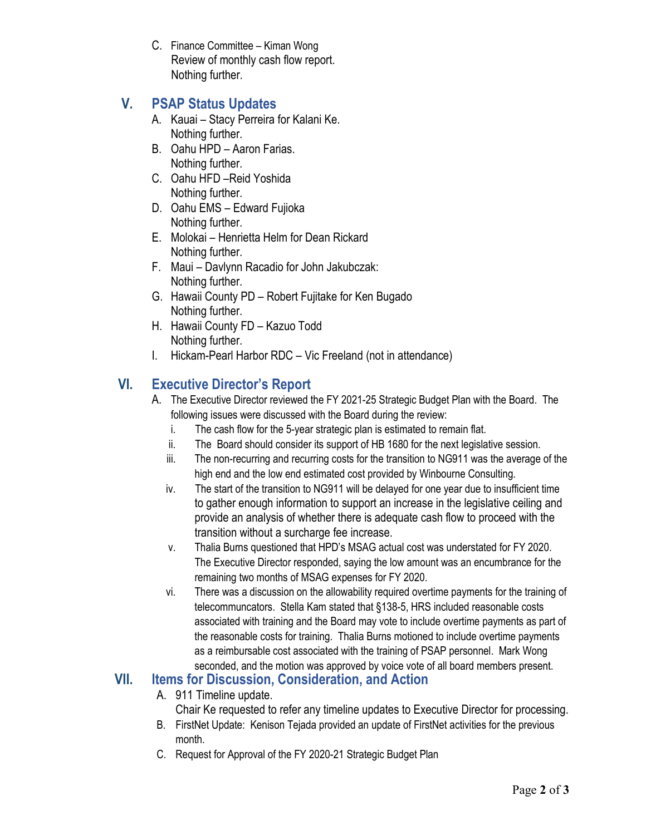C. Finance Committee – Kiman Wong Review of monthly cash flow report. Nothing further.

## **V. PSAP Status Updates**

- A. Kauai Stacy Perreira for Kalani Ke. Nothing further.
- B. Oahu HPD Aaron Farias. Nothing further.
- C. Oahu HFD –Reid Yoshida Nothing further.
- D. Oahu EMS Edward Fujioka Nothing further.
- E. Molokai Henrietta Helm for Dean Rickard Nothing further.
- F. Maui Davlynn Racadio for John Jakubczak: Nothing further.
- G. Hawaii County PD Robert Fujitake for Ken Bugado Nothing further.
- H. Hawaii County FD Kazuo Todd Nothing further.
- I. Hickam-Pearl Harbor RDC Vic Freeland (not in attendance)

## **VI. Executive Director's Report**

- A. The Executive Director reviewed the FY 2021-25 Strategic Budget Plan with the Board. The following issues were discussed with the Board during the review:
	- i. The cash flow for the 5-year strategic plan is estimated to remain flat.
	- ii. The Board should consider its support of HB 1680 for the next legislative session.
	- iii. The non-recurring and recurring costs for the transition to NG911 was the average of the high end and the low end estimated cost provided by Winbourne Consulting.
	- iv. The start of the transition to NG911 will be delayed for one year due to insufficient time to gather enough information to support an increase in the legislative ceiling and provide an analysis of whether there is adequate cash flow to proceed with the transition without a surcharge fee increase.
	- v. Thalia Burns questioned that HPD's MSAG actual cost was understated for FY 2020. The Executive Director responded, saying the low amount was an encumbrance for the remaining two months of MSAG expenses for FY 2020.
	- vi. There was a discussion on the allowability required overtime payments for the training of telecommuncators. Stella Kam stated that §138-5, HRS included reasonable costs associated with training and the Board may vote to include overtime payments as part of the reasonable costs for training. Thalia Burns motioned to include overtime payments as a reimbursable cost associated with the training of PSAP personnel. Mark Wong seconded, and the motion was approved by voice vote of all board members present.

## **VII. Items for Discussion, Consideration, and Action**

- A. 911 Timeline update.
	- Chair Ke requested to refer any timeline updates to Executive Director for processing.
- B. FirstNet Update: Kenison Tejada provided an update of FirstNet activities for the previous month.
- C. Request for Approval of the FY 2020-21 Strategic Budget Plan